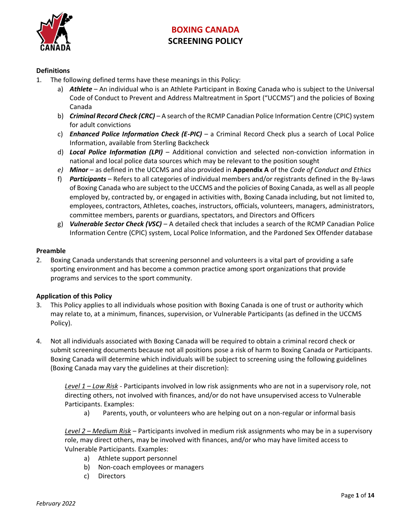

### **Definitions**

- 1. The following defined terms have these meanings in this Policy:
	- a) *Athlete* An individual who is an Athlete Participant in Boxing Canada who is subject to the Universal Code of Conduct to Prevent and Address Maltreatment in Sport ("UCCMS") and the policies of Boxing Canada
	- b) *Criminal Record Check (CRC)* A search of the RCMP Canadian Police Information Centre (CPIC) system for adult convictions
	- c) *Enhanced Police Information Check (E-PIC)* a Criminal Record Check plus a search of Local Police Information, available from Sterling Backcheck
	- d) *Local Police Information (LPI)* Additional conviction and selected non-conviction information in national and local police data sources which may be relevant to the position sought
	- *e) Minor* as defined in the UCCMS and also provided in **Appendix A** of the *Code of Conduct and Ethics*
	- f) *Participants* Refers to all categories of individual members and/or registrants defined in the By-laws of Boxing Canada who are subject to the UCCMS and the policies of Boxing Canada, as well as all people employed by, contracted by, or engaged in activities with, Boxing Canada including, but not limited to, employees, contractors, Athletes, coaches, instructors, officials, volunteers, managers, administrators, committee members, parents or guardians, spectators, and Directors and Officers
	- g) *Vulnerable Sector Check (VSC)* A detailed check that includes a search of the RCMP Canadian Police Information Centre (CPIC) system, Local Police Information, and the Pardoned Sex Offender database

### **Preamble**

2. Boxing Canada understands that screening personnel and volunteers is a vital part of providing a safe sporting environment and has become a common practice among sport organizations that provide programs and services to the sport community.

### **Application of this Policy**

- 3. This Policy applies to all individuals whose position with Boxing Canada is one of trust or authority which may relate to, at a minimum, finances, supervision, or Vulnerable Participants (as defined in the UCCMS Policy).
- 4. Not all individuals associated with Boxing Canada will be required to obtain a criminal record check or submit screening documents because not all positions pose a risk of harm to Boxing Canada or Participants. Boxing Canada will determine which individuals will be subject to screening using the following guidelines (Boxing Canada may vary the guidelines at their discretion):

*Level 1 – Low Risk* - Participants involved in low risk assignments who are not in a supervisory role, not directing others, not involved with finances, and/or do not have unsupervised access to Vulnerable Participants. Examples:

a) Parents, youth, or volunteers who are helping out on a non-regular or informal basis

*Level 2 – Medium Risk* – Participants involved in medium risk assignments who may be in a supervisory role, may direct others, may be involved with finances, and/or who may have limited access to Vulnerable Participants. Examples:

- a) Athlete support personnel
- b) Non-coach employees or managers
- c) Directors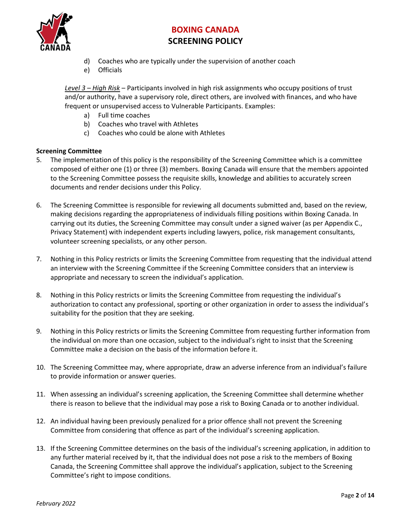

- d) Coaches who are typically under the supervision of another coach
- e) Officials

*Level 3 – High Risk* – Participants involved in high risk assignments who occupy positions of trust and/or authority, have a supervisory role, direct others, are involved with finances, and who have frequent or unsupervised access to Vulnerable Participants. Examples:

- a) Full time coaches
- b) Coaches who travel with Athletes
- c) Coaches who could be alone with Athletes

### **Screening Committee**

- 5. The implementation of this policy is the responsibility of the Screening Committee which is a committee composed of either one (1) or three (3) members. Boxing Canada will ensure that the members appointed to the Screening Committee possess the requisite skills, knowledge and abilities to accurately screen documents and render decisions under this Policy.
- 6. The Screening Committee is responsible for reviewing all documents submitted and, based on the review, making decisions regarding the appropriateness of individuals filling positions within Boxing Canada. In carrying out its duties, the Screening Committee may consult under a signed waiver (as per Appendix C., Privacy Statement) with independent experts including lawyers, police, risk management consultants, volunteer screening specialists, or any other person.
- 7. Nothing in this Policy restricts or limits the Screening Committee from requesting that the individual attend an interview with the Screening Committee if the Screening Committee considers that an interview is appropriate and necessary to screen the individual's application.
- 8. Nothing in this Policy restricts or limits the Screening Committee from requesting the individual's authorization to contact any professional, sporting or other organization in order to assess the individual's suitability for the position that they are seeking.
- 9. Nothing in this Policy restricts or limits the Screening Committee from requesting further information from the individual on more than one occasion, subject to the individual's right to insist that the Screening Committee make a decision on the basis of the information before it.
- 10. The Screening Committee may, where appropriate, draw an adverse inference from an individual's failure to provide information or answer queries.
- 11. When assessing an individual's screening application, the Screening Committee shall determine whether there is reason to believe that the individual may pose a risk to Boxing Canada or to another individual.
- 12. An individual having been previously penalized for a prior offence shall not prevent the Screening Committee from considering that offence as part of the individual's screening application.
- 13. If the Screening Committee determines on the basis of the individual's screening application, in addition to any further material received by it, that the individual does not pose a risk to the members of Boxing Canada, the Screening Committee shall approve the individual's application, subject to the Screening Committee's right to impose conditions.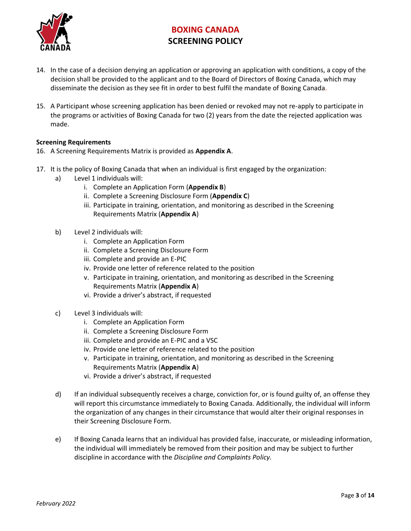

- 14. In the case of a decision denying an application or approving an application with conditions, a copy of the decision shall be provided to the applicant and to the Board of Directors of Boxing Canada, which may disseminate the decision as they see fit in order to best fulfil the mandate of Boxing Canada.
- 15. A Participant whose screening application has been denied or revoked may not re-apply to participate in the programs or activities of Boxing Canada for two (2) years from the date the rejected application was made.

### **Screening Requirements**

- 16. A Screening Requirements Matrix is provided as **Appendix A**.
- 17. It is the policy of Boxing Canada that when an individual is first engaged by the organization:
	- a) Level 1 individuals will:
		- i. Complete an Application Form (**Appendix B**)
		- ii. Complete a Screening Disclosure Form (**Appendix C**)
		- iii. Participate in training, orientation, and monitoring as described in the Screening Requirements Matrix (**Appendix A**)
	- b) Level 2 individuals will:
		- i. Complete an Application Form
		- ii. Complete a Screening Disclosure Form
		- iii. Complete and provide an E-PIC
		- iv. Provide one letter of reference related to the position
		- v. Participate in training, orientation, and monitoring as described in the Screening Requirements Matrix (**Appendix A**)
		- vi. Provide a driver's abstract, if requested
	- c) Level 3 individuals will:
		- i. Complete an Application Form
		- ii. Complete a Screening Disclosure Form
		- iii. Complete and provide an E-PIC and a VSC
		- iv. Provide one letter of reference related to the position
		- v. Participate in training, orientation, and monitoring as described in the Screening Requirements Matrix (**Appendix A**)
		- vi. Provide a driver's abstract, if requested
	- d) If an individual subsequently receives a charge, conviction for, or is found guilty of, an offense they will report this circumstance immediately to Boxing Canada. Additionally, the individual will inform the organization of any changes in their circumstance that would alter their original responses in their Screening Disclosure Form.
	- e) If Boxing Canada learns that an individual has provided false, inaccurate, or misleading information, the individual will immediately be removed from their position and may be subject to further discipline in accordance with the *Discipline and Complaints Policy.*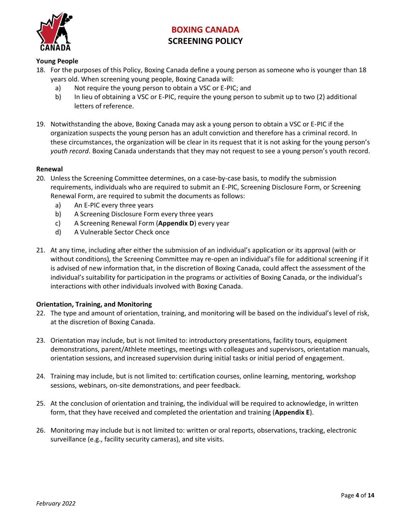

### **Young People**

- 18. For the purposes of this Policy, Boxing Canada define a young person as someone who is younger than 18 years old. When screening young people, Boxing Canada will:
	- a) Not require the young person to obtain a VSC or E-PIC; and
	- b) In lieu of obtaining a VSC or E-PIC, require the young person to submit up to two (2) additional letters of reference.
- 19. Notwithstanding the above, Boxing Canada may ask a young person to obtain a VSC or E-PIC if the organization suspects the young person has an adult conviction and therefore has a criminal record. In these circumstances, the organization will be clear in its request that it is not asking for the young person's *youth record*. Boxing Canada understands that they may not request to see a young person's youth record.

### **Renewal**

- 20. Unless the Screening Committee determines, on a case-by-case basis, to modify the submission requirements, individuals who are required to submit an E-PIC, Screening Disclosure Form, or Screening Renewal Form, are required to submit the documents as follows:
	- a) An E-PIC every three years
	- b) A Screening Disclosure Form every three years
	- c) A Screening Renewal Form (**Appendix D**) every year
	- d) A Vulnerable Sector Check once
- 21. At any time, including after either the submission of an individual's application or its approval (with or without conditions), the Screening Committee may re-open an individual's file for additional screening if it is advised of new information that, in the discretion of Boxing Canada, could affect the assessment of the individual's suitability for participation in the programs or activities of Boxing Canada, or the individual's interactions with other individuals involved with Boxing Canada.

#### **Orientation, Training, and Monitoring**

- 22. The type and amount of orientation, training, and monitoring will be based on the individual's level of risk, at the discretion of Boxing Canada.
- 23. Orientation may include, but is not limited to: introductory presentations, facility tours, equipment demonstrations, parent/Athlete meetings, meetings with colleagues and supervisors, orientation manuals, orientation sessions, and increased supervision during initial tasks or initial period of engagement.
- 24. Training may include, but is not limited to: certification courses, online learning, mentoring, workshop sessions, webinars, on-site demonstrations, and peer feedback.
- 25. At the conclusion of orientation and training, the individual will be required to acknowledge, in written form, that they have received and completed the orientation and training (**Appendix E**).
- 26. Monitoring may include but is not limited to: written or oral reports, observations, tracking, electronic surveillance (e.g., facility security cameras), and site visits.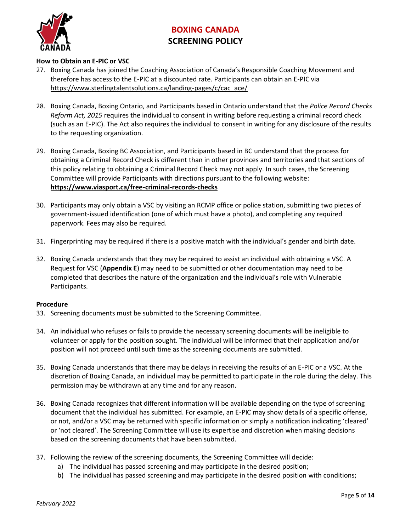

### **How to Obtain an E-PIC or VSC**

- 27. Boxing Canada has joined the Coaching Association of Canada's Responsible Coaching Movement and therefore has access to the E-PIC at a discounted rate. Participants can obtain an E-PIC via [https://www.sterlingtalentsolutions.ca/landing-pages/c/cac\\_ace/](https://www.sterlingtalentsolutions.ca/landing-pages/c/cac_ace/)
- 28. Boxing Canada, Boxing Ontario, and Participants based in Ontario understand that the *Police Record Checks Reform Act, 2015* requires the individual to consent in writing before requesting a criminal record check (such as an E-PIC). The Act also requires the individual to consent in writing for any disclosure of the results to the requesting organization.
- 29. Boxing Canada, Boxing BC Association, and Participants based in BC understand that the process for obtaining a Criminal Record Check is different than in other provinces and territories and that sections of this policy relating to obtaining a Criminal Record Check may not apply. In such cases, the Screening Committee will provide Participants with directions pursuant to the following website: **<https://www.viasport.ca/free-criminal-records-checks>**
- 30. Participants may only obtain a VSC by visiting an RCMP office or police station, submitting two pieces of government-issued identification (one of which must have a photo), and completing any required paperwork. Fees may also be required.
- 31. Fingerprinting may be required if there is a positive match with the individual's gender and birth date.
- 32. Boxing Canada understands that they may be required to assist an individual with obtaining a VSC. A Request for VSC (**Appendix E**) may need to be submitted or other documentation may need to be completed that describes the nature of the organization and the individual's role with Vulnerable Participants.

#### **Procedure**

- 33. Screening documents must be submitted to the Screening Committee.
- 34. An individual who refuses or fails to provide the necessary screening documents will be ineligible to volunteer or apply for the position sought. The individual will be informed that their application and/or position will not proceed until such time as the screening documents are submitted.
- 35. Boxing Canada understands that there may be delays in receiving the results of an E-PIC or a VSC. At the discretion of Boxing Canada, an individual may be permitted to participate in the role during the delay. This permission may be withdrawn at any time and for any reason.
- 36. Boxing Canada recognizes that different information will be available depending on the type of screening document that the individual has submitted. For example, an E-PIC may show details of a specific offense, or not, and/or a VSC may be returned with specific information or simply a notification indicating 'cleared' or 'not cleared'. The Screening Committee will use its expertise and discretion when making decisions based on the screening documents that have been submitted.
- 37. Following the review of the screening documents, the Screening Committee will decide:
	- a) The individual has passed screening and may participate in the desired position;
	- b) The individual has passed screening and may participate in the desired position with conditions;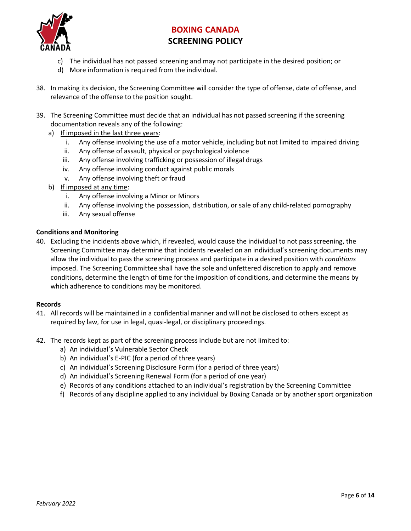

- c) The individual has not passed screening and may not participate in the desired position; or
- d) More information is required from the individual.
- 38. In making its decision, the Screening Committee will consider the type of offense, date of offense, and relevance of the offense to the position sought.
- 39. The Screening Committee must decide that an individual has not passed screening if the screening documentation reveals any of the following:
	- a) If imposed in the last three years:
		- i. Any offense involving the use of a motor vehicle, including but not limited to impaired driving
		- ii. Any offense of assault, physical or psychological violence
		- iii. Any offense involving trafficking or possession of illegal drugs
		- iv. Any offense involving conduct against public morals
		- v. Any offense involving theft or fraud
	- b) If imposed at any time:
		- i. Any offense involving a Minor or Minors
		- ii. Any offense involving the possession, distribution, or sale of any child-related pornography
		- iii. Any sexual offense

### **Conditions and Monitoring**

40. Excluding the incidents above which, if revealed, would cause the individual to not pass screening, the Screening Committee may determine that incidents revealed on an individual's screening documents may allow the individual to pass the screening process and participate in a desired position with *conditions* imposed. The Screening Committee shall have the sole and unfettered discretion to apply and remove conditions, determine the length of time for the imposition of conditions, and determine the means by which adherence to conditions may be monitored.

#### **Records**

- 41. All records will be maintained in a confidential manner and will not be disclosed to others except as required by law, for use in legal, quasi-legal, or disciplinary proceedings.
- 42. The records kept as part of the screening process include but are not limited to:
	- a) An individual's Vulnerable Sector Check
	- b) An individual's E-PIC (for a period of three years)
	- c) An individual's Screening Disclosure Form (for a period of three years)
	- d) An individual's Screening Renewal Form (for a period of one year)
	- e) Records of any conditions attached to an individual's registration by the Screening Committee
	- f) Records of any discipline applied to any individual by Boxing Canada or by another sport organization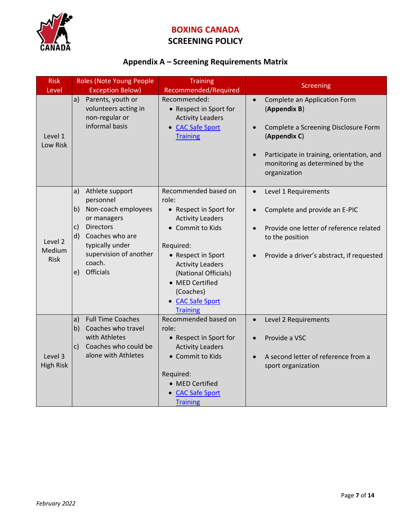

# **SCREENING POLICY**

## **Appendix A – Screening Requirements Matrix**

| <b>Risk</b>                      | Roles (Note Young People<br><b>Training</b>                                                                                                                                                                           |                                                                                                                                                                                                                                                                     |                                                                                                                                                                                                                                             |  |
|----------------------------------|-----------------------------------------------------------------------------------------------------------------------------------------------------------------------------------------------------------------------|---------------------------------------------------------------------------------------------------------------------------------------------------------------------------------------------------------------------------------------------------------------------|---------------------------------------------------------------------------------------------------------------------------------------------------------------------------------------------------------------------------------------------|--|
| Level                            | <b>Exception Below)</b>                                                                                                                                                                                               | Recommended/Required                                                                                                                                                                                                                                                | <b>Screening</b>                                                                                                                                                                                                                            |  |
| Level 1<br>Low Risk              | a)<br>Parents, youth or<br>volunteers acting in<br>non-regular or<br>informal basis                                                                                                                                   | Recommended:<br>• Respect in Sport for<br><b>Activity Leaders</b><br>• CAC Safe Sport<br><b>Training</b>                                                                                                                                                            | Complete an Application Form<br>$\bullet$<br>(Appendix B)<br>Complete a Screening Disclosure Form<br>$\bullet$<br>(Appendix C)<br>Participate in training, orientation, and<br>$\bullet$<br>monitoring as determined by the<br>organization |  |
| Level 2<br>Medium<br><b>Risk</b> | Athlete support<br>a)<br>personnel<br>b)<br>Non-coach employees<br>or managers<br><b>Directors</b><br>$\mathsf{c}$<br>Coaches who are<br>d)<br>typically under<br>supervision of another<br>coach.<br>Officials<br>e) | Recommended based on<br>role:<br>• Respect in Sport for<br><b>Activity Leaders</b><br>• Commit to Kids<br>Required:<br>• Respect in Sport<br><b>Activity Leaders</b><br>(National Officials)<br>• MED Certified<br>(Coaches)<br>• CAC Safe Sport<br><b>Training</b> | Level 1 Requirements<br>$\bullet$<br>Complete and provide an E-PIC<br>$\bullet$<br>Provide one letter of reference related<br>$\bullet$<br>to the position<br>Provide a driver's abstract, if requested<br>$\bullet$                        |  |
| Level 3<br><b>High Risk</b>      | <b>Full Time Coaches</b><br> a <br>b)<br>Coaches who travel<br>with Athletes<br>Coaches who could be<br>$\mathsf{C}$<br>alone with Athletes                                                                           | Recommended based on<br>role:<br>• Respect in Sport for<br><b>Activity Leaders</b><br>• Commit to Kids<br>Required:<br>• MED Certified<br><b>CAC Safe Sport</b><br><b>Training</b>                                                                                  | Level 2 Requirements<br>$\bullet$<br>Provide a VSC<br>$\bullet$<br>A second letter of reference from a<br>$\bullet$<br>sport organization                                                                                                   |  |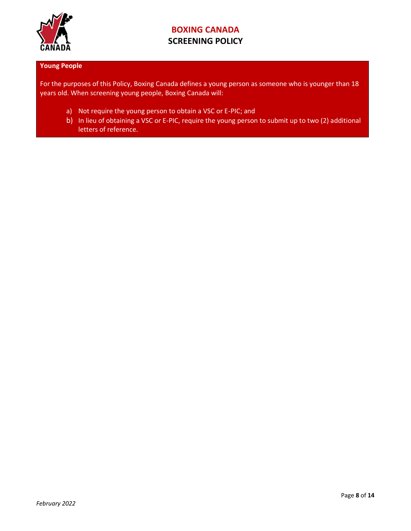

### **Young People**

For the purposes of this Policy, Boxing Canada defines a young person as someone who is younger than 18 years old. When screening young people, Boxing Canada will:

- a) Not require the young person to obtain a VSC or E-PIC; and
- b) In lieu of obtaining a VSC or E-PIC, require the young person to submit up to two (2) additional letters of reference.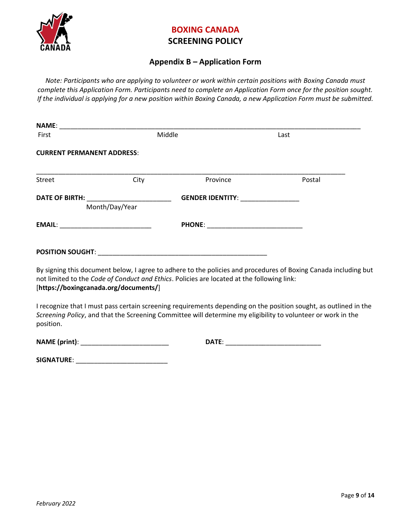

### **SCREENING POLICY**

### **Appendix B – Application Form**

*Note: Participants who are applying to volunteer or work within certain positions with Boxing Canada must complete this Application Form. Participants need to complete an Application Form once for the position sought. If the individual is applying for a new position within Boxing Canada, a new Application Form must be submitted.*

| First                                     |                                          | Middle                                                                                     | Last                                                                                                                                                                                                                             |  |  |  |
|-------------------------------------------|------------------------------------------|--------------------------------------------------------------------------------------------|----------------------------------------------------------------------------------------------------------------------------------------------------------------------------------------------------------------------------------|--|--|--|
| <b>CURRENT PERMANENT ADDRESS:</b>         |                                          |                                                                                            |                                                                                                                                                                                                                                  |  |  |  |
| Street                                    | City                                     | Province                                                                                   | Postal                                                                                                                                                                                                                           |  |  |  |
|                                           | DATE OF BIRTH: _________________________ | GENDER IDENTITY: ________________                                                          |                                                                                                                                                                                                                                  |  |  |  |
|                                           | Month/Day/Year                           |                                                                                            |                                                                                                                                                                                                                                  |  |  |  |
| EMAIL: __________________________________ |                                          |                                                                                            |                                                                                                                                                                                                                                  |  |  |  |
|                                           |                                          |                                                                                            |                                                                                                                                                                                                                                  |  |  |  |
|                                           | [https://boxingcanada.org/documents/]    | not limited to the Code of Conduct and Ethics. Policies are located at the following link: | By signing this document below, I agree to adhere to the policies and procedures of Boxing Canada including but                                                                                                                  |  |  |  |
| position.                                 |                                          |                                                                                            | I recognize that I must pass certain screening requirements depending on the position sought, as outlined in the<br>Screening Policy, and that the Screening Committee will determine my eligibility to volunteer or work in the |  |  |  |

**NAME (print)**: \_\_\_\_\_\_\_\_\_\_\_\_\_\_\_\_\_\_\_\_\_\_\_\_ **DATE**: \_\_\_\_\_\_\_\_\_\_\_\_\_\_\_\_\_\_\_\_\_\_\_\_\_\_

| SIGNATURE: |  |
|------------|--|
|            |  |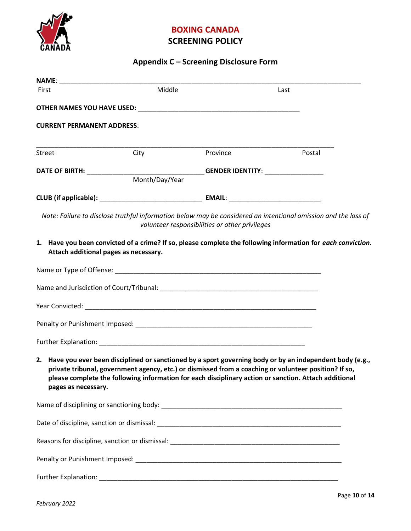

# **SCREENING POLICY**

# **Appendix C – Screening Disclosure Form**

| First                             | Middle                                |                                                | Last                                                                                                                                                                                                                                                                                                                         |  |  |
|-----------------------------------|---------------------------------------|------------------------------------------------|------------------------------------------------------------------------------------------------------------------------------------------------------------------------------------------------------------------------------------------------------------------------------------------------------------------------------|--|--|
|                                   |                                       |                                                |                                                                                                                                                                                                                                                                                                                              |  |  |
| <b>CURRENT PERMANENT ADDRESS:</b> |                                       |                                                |                                                                                                                                                                                                                                                                                                                              |  |  |
| Street                            | City                                  | Province                                       | Postal                                                                                                                                                                                                                                                                                                                       |  |  |
|                                   | Month/Day/Year                        |                                                |                                                                                                                                                                                                                                                                                                                              |  |  |
|                                   |                                       |                                                |                                                                                                                                                                                                                                                                                                                              |  |  |
|                                   |                                       | volunteer responsibilities or other privileges | Note: Failure to disclose truthful information below may be considered an intentional omission and the loss of                                                                                                                                                                                                               |  |  |
|                                   | Attach additional pages as necessary. |                                                | 1. Have you been convicted of a crime? If so, please complete the following information for each conviction.                                                                                                                                                                                                                 |  |  |
|                                   |                                       |                                                |                                                                                                                                                                                                                                                                                                                              |  |  |
|                                   |                                       |                                                |                                                                                                                                                                                                                                                                                                                              |  |  |
|                                   |                                       |                                                |                                                                                                                                                                                                                                                                                                                              |  |  |
|                                   |                                       |                                                |                                                                                                                                                                                                                                                                                                                              |  |  |
|                                   |                                       |                                                |                                                                                                                                                                                                                                                                                                                              |  |  |
| pages as necessary.               |                                       |                                                | 2. Have you ever been disciplined or sanctioned by a sport governing body or by an independent body (e.g.,<br>private tribunal, government agency, etc.) or dismissed from a coaching or volunteer position? If so,<br>please complete the following information for each disciplinary action or sanction. Attach additional |  |  |
|                                   |                                       |                                                |                                                                                                                                                                                                                                                                                                                              |  |  |
|                                   |                                       |                                                |                                                                                                                                                                                                                                                                                                                              |  |  |
|                                   |                                       |                                                |                                                                                                                                                                                                                                                                                                                              |  |  |
|                                   |                                       |                                                |                                                                                                                                                                                                                                                                                                                              |  |  |
|                                   |                                       |                                                |                                                                                                                                                                                                                                                                                                                              |  |  |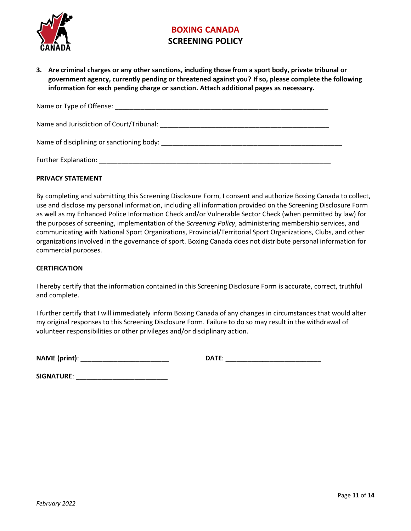

**3. Are criminal charges or any other sanctions, including those from a sport body, private tribunal or government agency, currently pending or threatened against you? If so, please complete the following information for each pending charge or sanction. Attach additional pages as necessary.**

| Name and Jurisdiction of Court/Tribunal: Name and Jurisdiction of Court/Tribunal: |
|-----------------------------------------------------------------------------------|
|                                                                                   |
| Further Explanation:                                                              |

### **PRIVACY STATEMENT**

By completing and submitting this Screening Disclosure Form, I consent and authorize Boxing Canada to collect, use and disclose my personal information, including all information provided on the Screening Disclosure Form as well as my Enhanced Police Information Check and/or Vulnerable Sector Check (when permitted by law) for the purposes of screening, implementation of the *Screening Policy*, administering membership services, and communicating with National Sport Organizations, Provincial/Territorial Sport Organizations, Clubs, and other organizations involved in the governance of sport. Boxing Canada does not distribute personal information for commercial purposes.

#### **CERTIFICATION**

I hereby certify that the information contained in this Screening Disclosure Form is accurate, correct, truthful and complete.

I further certify that I will immediately inform Boxing Canada of any changes in circumstances that would alter my original responses to this Screening Disclosure Form. Failure to do so may result in the withdrawal of volunteer responsibilities or other privileges and/or disciplinary action.

**NAME (print)**: \_\_\_\_\_\_\_\_\_\_\_\_\_\_\_\_\_\_\_\_\_\_\_\_ **DATE**: \_\_\_\_\_\_\_\_\_\_\_\_\_\_\_\_\_\_\_\_\_\_\_\_\_\_

| DAT<br>. . |  |  |  |
|------------|--|--|--|
|            |  |  |  |

**SIGNATURE**: \_\_\_\_\_\_\_\_\_\_\_\_\_\_\_\_\_\_\_\_\_\_\_\_\_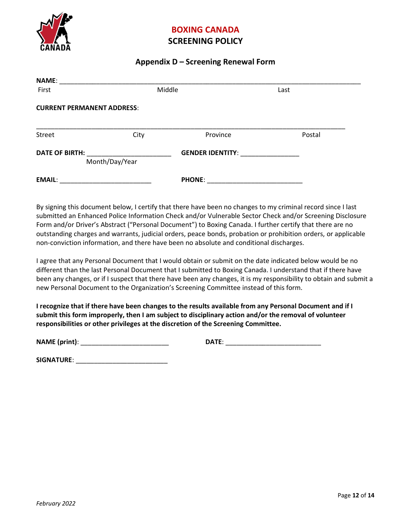

### **SCREENING POLICY**

### **Appendix D – Screening Renewal Form**

| <b>NAME:</b>                            |        |                         |        |  |  |  |
|-----------------------------------------|--------|-------------------------|--------|--|--|--|
| First                                   | Middle |                         | Last   |  |  |  |
| <b>CURRENT PERMANENT ADDRESS:</b>       |        |                         |        |  |  |  |
| Street                                  | City   | Province                | Postal |  |  |  |
| <b>DATE OF BIRTH:</b><br>Month/Day/Year |        | <b>GENDER IDENTITY:</b> |        |  |  |  |
| <b>EMAIL:</b>                           |        | <b>PHONE:</b>           |        |  |  |  |

By signing this document below, I certify that there have been no changes to my criminal record since I last submitted an Enhanced Police Information Check and/or Vulnerable Sector Check and/or Screening Disclosure Form and/or Driver's Abstract ("Personal Document") to Boxing Canada. I further certify that there are no outstanding charges and warrants, judicial orders, peace bonds, probation or prohibition orders, or applicable non-conviction information, and there have been no absolute and conditional discharges.

I agree that any Personal Document that I would obtain or submit on the date indicated below would be no different than the last Personal Document that I submitted to Boxing Canada. I understand that if there have been any changes, or if I suspect that there have been any changes, it is my responsibility to obtain and submit a new Personal Document to the Organization's Screening Committee instead of this form.

**I recognize that if there have been changes to the results available from any Personal Document and if I submit this form improperly, then I am subject to disciplinary action and/or the removal of volunteer responsibilities or other privileges at the discretion of the Screening Committee.** 

**NAME (print)**: \_\_\_\_\_\_\_\_\_\_\_\_\_\_\_\_\_\_\_\_\_\_\_\_ **DATE**: \_\_\_\_\_\_\_\_\_\_\_\_\_\_\_\_\_\_\_\_\_\_\_\_\_\_

| DAT<br>. . |  |  |  |
|------------|--|--|--|
|            |  |  |  |

**SIGNATURE**: \_\_\_\_\_\_\_\_\_\_\_\_\_\_\_\_\_\_\_\_\_\_\_\_\_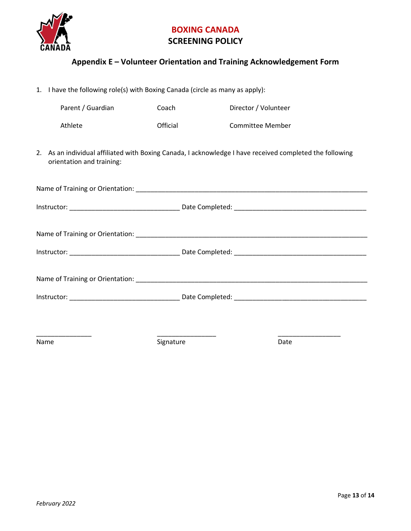

## **Appendix E – Volunteer Orientation and Training Acknowledgement Form**

|      | 1. I have the following role(s) with Boxing Canada (circle as many as apply):                                                         |           |                         |  |  |  |  |
|------|---------------------------------------------------------------------------------------------------------------------------------------|-----------|-------------------------|--|--|--|--|
|      | Parent / Guardian                                                                                                                     | Coach     | Director / Volunteer    |  |  |  |  |
|      | Athlete                                                                                                                               | Official  | <b>Committee Member</b> |  |  |  |  |
|      | 2. As an individual affiliated with Boxing Canada, I acknowledge I have received completed the following<br>orientation and training: |           |                         |  |  |  |  |
|      |                                                                                                                                       |           |                         |  |  |  |  |
|      |                                                                                                                                       |           |                         |  |  |  |  |
|      |                                                                                                                                       |           |                         |  |  |  |  |
|      |                                                                                                                                       |           |                         |  |  |  |  |
|      |                                                                                                                                       |           |                         |  |  |  |  |
|      |                                                                                                                                       |           |                         |  |  |  |  |
|      |                                                                                                                                       |           |                         |  |  |  |  |
| Name |                                                                                                                                       | Signature | Date                    |  |  |  |  |